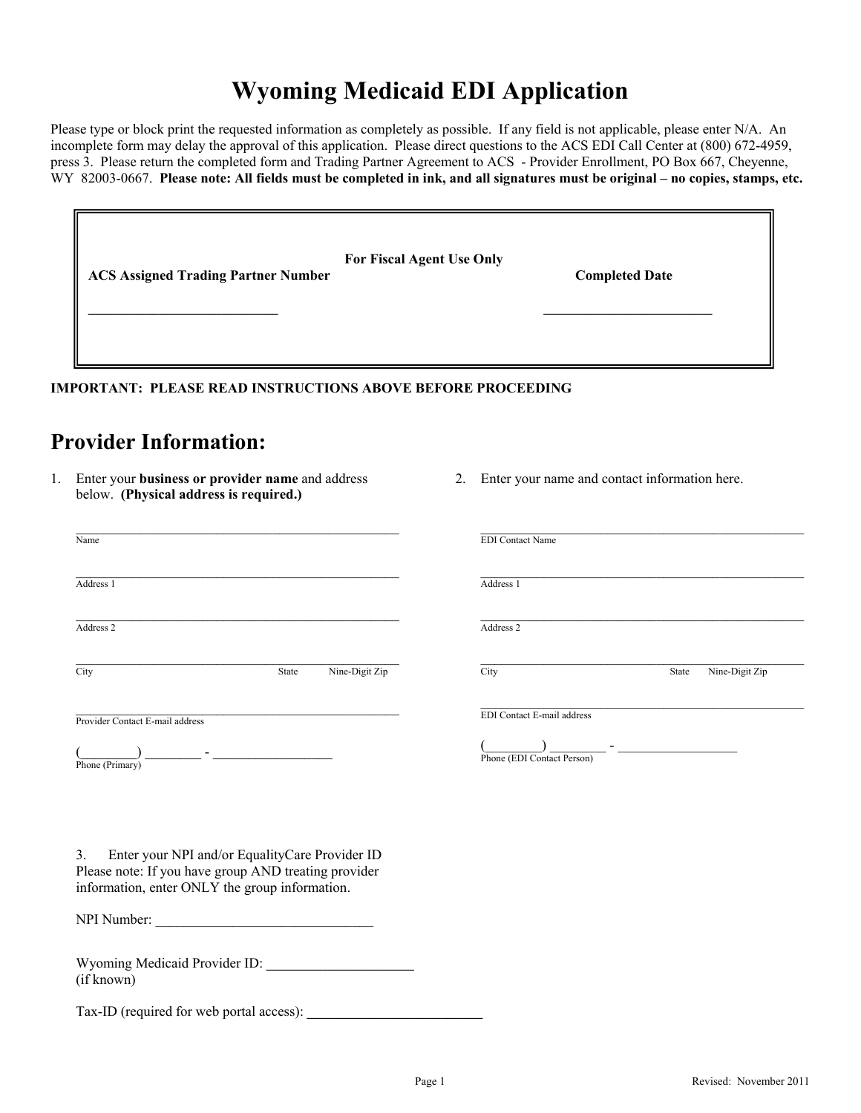# **Wyoming Medicaid EDI Application**

Please type or block print the requested information as completely as possible. If any field is not applicable, please enter N/A. An incomplete form may delay the approval of this application. Please direct questions to the ACS EDI Call Center at (800) 672-4959, press 3. Please return the completed form and Trading Partner Agreement to ACS - Provider Enrollment, PO Box 667, Cheyenne, WY 82003-0667. **Please note: All fields must be completed in ink, and all signatures must be original – no copies, stamps, etc.**

| <b>ACS Assigned Trading Partner Number</b> | For Fiscal Agent Use Only | <b>Completed Date</b> |  |
|--------------------------------------------|---------------------------|-----------------------|--|
|                                            |                           |                       |  |

**IMPORTANT: PLEASE READ INSTRUCTIONS ABOVE BEFORE PROCEEDING** 

### **Provider Information:**

(if known)

Tax-ID (required for web portal access):

- 1. Enter your **business or provider name** and address below. **(Physical address is required.)**
- 2. Enter your name and contact information here.

| Name                                                                                                                                                                         |                         | <b>EDI</b> Contact Name                                         |                         |
|------------------------------------------------------------------------------------------------------------------------------------------------------------------------------|-------------------------|-----------------------------------------------------------------|-------------------------|
| Address 1                                                                                                                                                                    |                         | Address 1                                                       |                         |
| Address 2                                                                                                                                                                    |                         | Address 2                                                       |                         |
| City                                                                                                                                                                         | Nine-Digit Zip<br>State | City                                                            | Nine-Digit Zip<br>State |
| Provider Contact E-mail address<br><u> 1999 - Jan Jan Jawa Barat, prima prima prima prima prima prima prima prima prima prima prima prima prima pri</u><br>Phone (Primary)   |                         | <b>EDI</b> Contact E-mail address<br>Phone (EDI Contact Person) |                         |
| $\mathfrak{Z}$ .<br>Enter your NPI and/or EqualityCare Provider ID<br>Please note: If you have group AND treating provider<br>information, enter ONLY the group information. |                         |                                                                 |                         |
|                                                                                                                                                                              |                         |                                                                 |                         |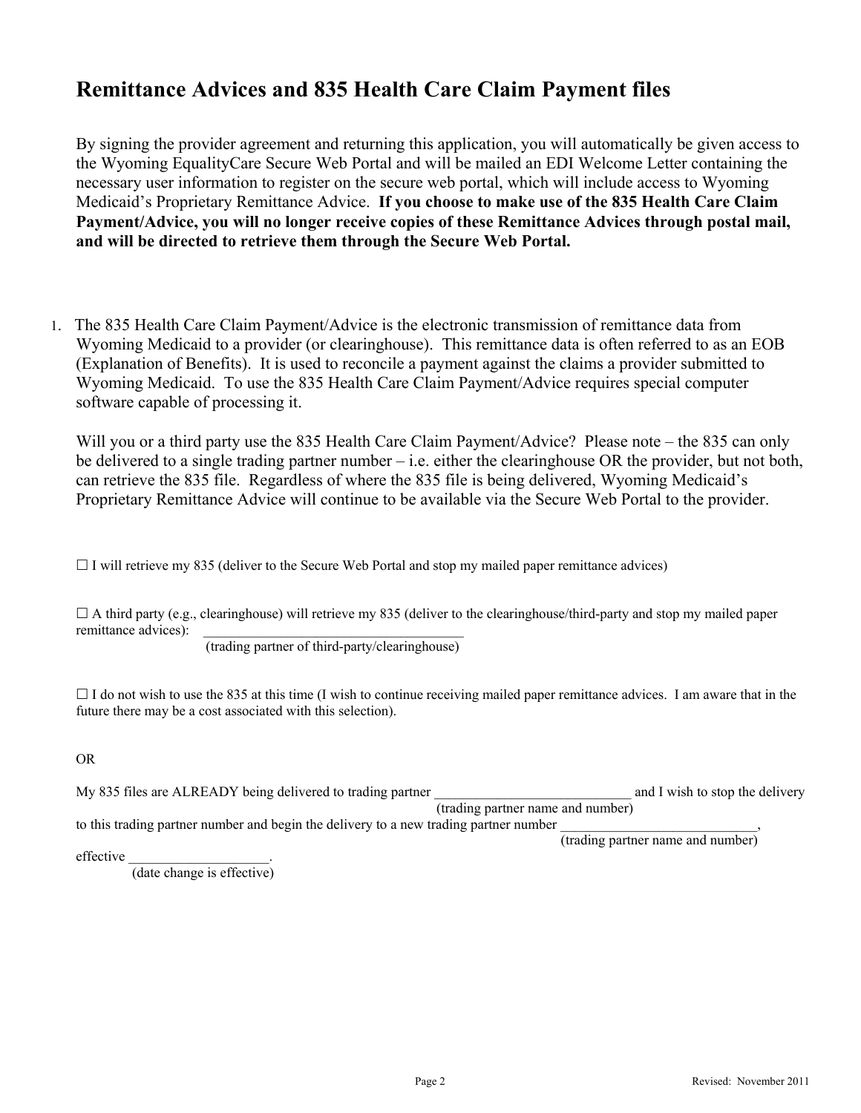## **Remittance Advices and 835 Health Care Claim Payment files**

By signing the provider agreement and returning this application, you will automatically be given access to the Wyoming EqualityCare Secure Web Portal and will be mailed an EDI Welcome Letter containing the necessary user information to register on the secure web portal, which will include access to Wyoming Medicaid's Proprietary Remittance Advice. **If you choose to make use of the 835 Health Care Claim Payment/Advice, you will no longer receive copies of these Remittance Advices through postal mail, and will be directed to retrieve them through the Secure Web Portal.** 

1. The 835 Health Care Claim Payment/Advice is the electronic transmission of remittance data from Wyoming Medicaid to a provider (or clearinghouse). This remittance data is often referred to as an EOB (Explanation of Benefits). It is used to reconcile a payment against the claims a provider submitted to Wyoming Medicaid. To use the 835 Health Care Claim Payment/Advice requires special computer software capable of processing it.

Will you or a third party use the 835 Health Care Claim Payment/Advice? Please note – the 835 can only be delivered to a single trading partner number – i.e. either the clearinghouse OR the provider, but not both, can retrieve the 835 file. Regardless of where the 835 file is being delivered, Wyoming Medicaid's Proprietary Remittance Advice will continue to be available via the Secure Web Portal to the provider.

 $\Box$  I will retrieve my 835 (deliver to the Secure Web Portal and stop my mailed paper remittance advices)

 $\Box$  A third party (e.g., clearinghouse) will retrieve my 835 (deliver to the clearinghouse/third-party and stop my mailed paper remittance advices):

(trading partner of third-party/clearinghouse)

 $\Box$  I do not wish to use the 835 at this time (I wish to continue receiving mailed paper remittance advices. I am aware that in the future there may be a cost associated with this selection).

OR

My 835 files are ALREADY being delivered to trading partner and twish to stop the delivery (trading partner name and number) to this trading partner number and begin the delivery to a new trading partner number

(trading partner name and number)

effective

(date change is effective)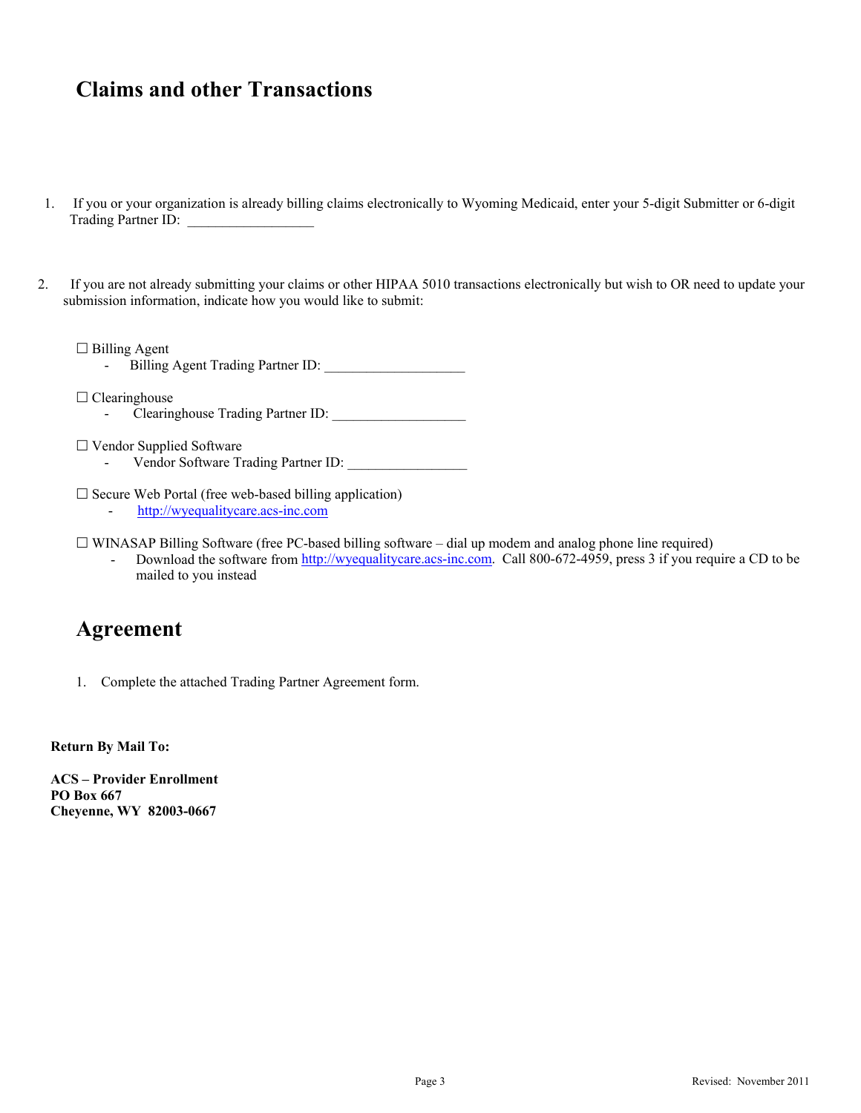## **Claims and other Transactions**

- 1. If you or your organization is already billing claims electronically to Wyoming Medicaid, enter your 5-digit Submitter or 6-digit Trading Partner ID:
- 2. If you are not already submitting your claims or other HIPAA 5010 transactions electronically but wish to OR need to update your submission information, indicate how you would like to submit:

□ Billing Agent

Billing Agent Trading Partner ID:

 $\Box$  Clearinghouse Clearinghouse Trading Partner ID:

- Vendor Supplied Software
	- Vendor Software Trading Partner ID:
- $\square$  Secure Web Portal (free web-based billing application)
	- http://wyequalitycare.acs-inc.com

 $\Box$  WINASAP Billing Software (free PC-based billing software – dial up modem and analog phone line required)

Download the software from http://wyequalitycare.acs-inc.com. Call 800-672-4959, press 3 if you require a CD to be mailed to you instead

### **Agreement**

1. Complete the attached Trading Partner Agreement form.

**Return By Mail To:** 

**ACS – Provider Enrollment PO Box 667 Cheyenne, WY 82003-0667**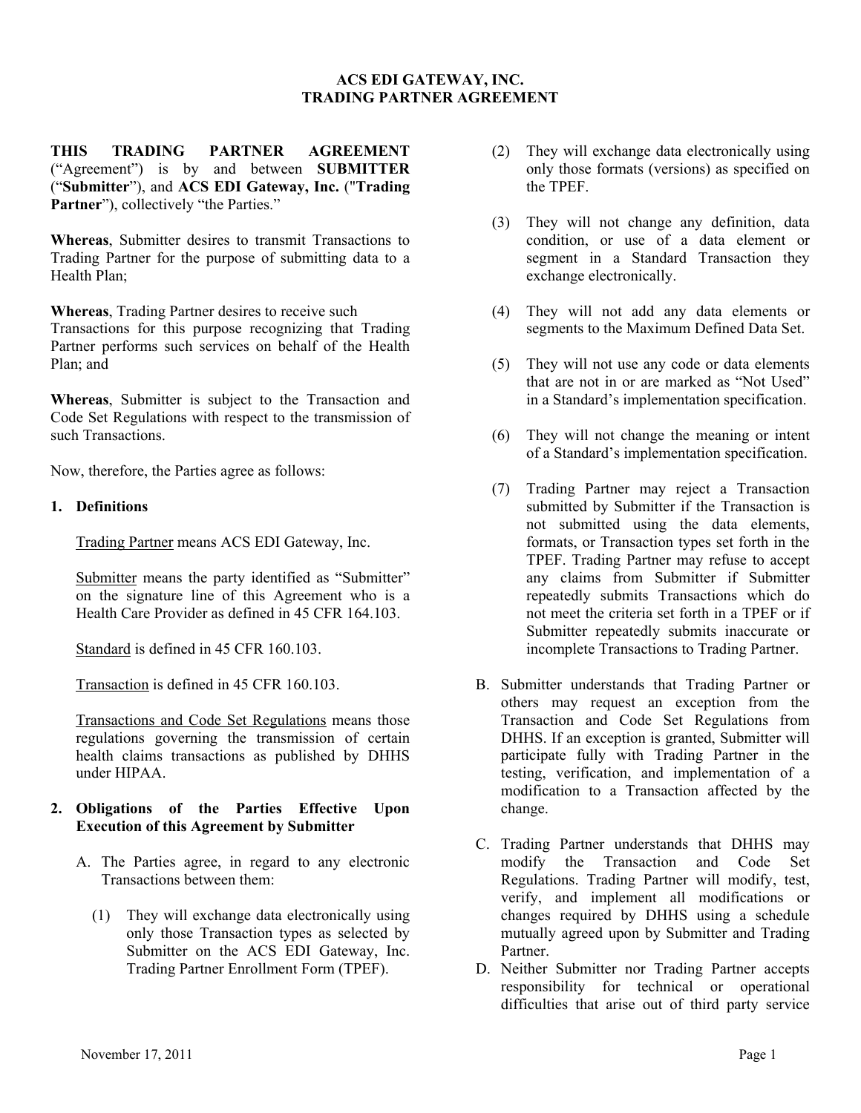#### **ACS EDI GATEWAY, INC. TRADING PARTNER AGREEMENT**

**THIS TRADING PARTNER AGREEMENT**  ("Agreement") is by and between **SUBMITTER**  ("**Submitter**"), and **ACS EDI Gateway, Inc.** ("**Trading**  Partner"), collectively "the Parties."

**Whereas**, Submitter desires to transmit Transactions to Trading Partner for the purpose of submitting data to a Health Plan;

**Whereas**, Trading Partner desires to receive such Transactions for this purpose recognizing that Trading Partner performs such services on behalf of the Health Plan; and

**Whereas**, Submitter is subject to the Transaction and Code Set Regulations with respect to the transmission of such Transactions.

Now, therefore, the Parties agree as follows:

#### **1. Definitions**

Trading Partner means ACS EDI Gateway, Inc.

Submitter means the party identified as "Submitter" on the signature line of this Agreement who is a Health Care Provider as defined in 45 CFR 164.103.

Standard is defined in 45 CFR 160.103.

Transaction is defined in 45 CFR 160.103.

Transactions and Code Set Regulations means those regulations governing the transmission of certain health claims transactions as published by DHHS under HIPAA.

#### **2. Obligations of the Parties Effective Upon Execution of this Agreement by Submitter**

- A. The Parties agree, in regard to any electronic Transactions between them:
	- (1) They will exchange data electronically using only those Transaction types as selected by Submitter on the ACS EDI Gateway, Inc. Trading Partner Enrollment Form (TPEF).
- (2) They will exchange data electronically using only those formats (versions) as specified on the TPEF.
- (3) They will not change any definition, data condition, or use of a data element or segment in a Standard Transaction they exchange electronically.
- (4) They will not add any data elements or segments to the Maximum Defined Data Set.
- (5) They will not use any code or data elements that are not in or are marked as "Not Used" in a Standard's implementation specification.
- (6) They will not change the meaning or intent of a Standard's implementation specification.
- (7) Trading Partner may reject a Transaction submitted by Submitter if the Transaction is not submitted using the data elements, formats, or Transaction types set forth in the TPEF. Trading Partner may refuse to accept any claims from Submitter if Submitter repeatedly submits Transactions which do not meet the criteria set forth in a TPEF or if Submitter repeatedly submits inaccurate or incomplete Transactions to Trading Partner.
- B. Submitter understands that Trading Partner or others may request an exception from the Transaction and Code Set Regulations from DHHS. If an exception is granted, Submitter will participate fully with Trading Partner in the testing, verification, and implementation of a modification to a Transaction affected by the change.
- C. Trading Partner understands that DHHS may modify the Transaction and Code Set Regulations. Trading Partner will modify, test, verify, and implement all modifications or changes required by DHHS using a schedule mutually agreed upon by Submitter and Trading Partner.
- D. Neither Submitter nor Trading Partner accepts responsibility for technical or operational difficulties that arise out of third party service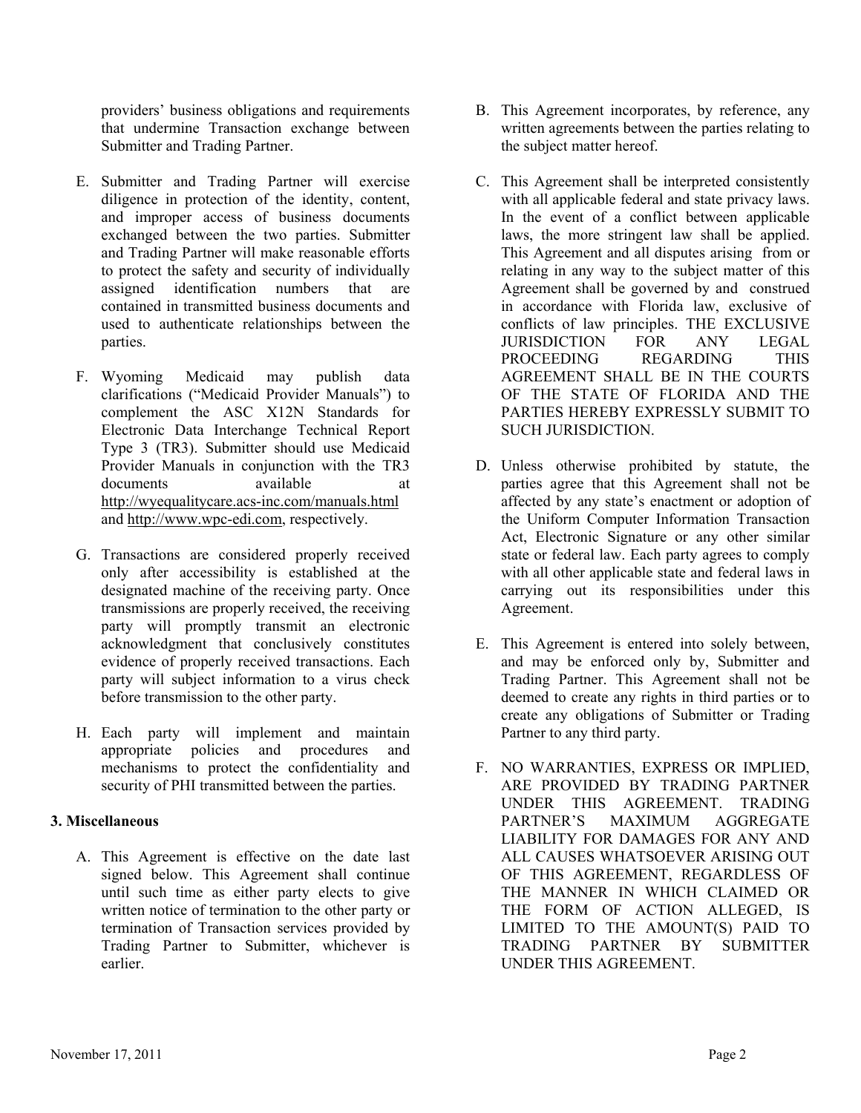providers' business obligations and requirements that undermine Transaction exchange between Submitter and Trading Partner.

- E. Submitter and Trading Partner will exercise diligence in protection of the identity, content, and improper access of business documents exchanged between the two parties. Submitter and Trading Partner will make reasonable efforts to protect the safety and security of individually assigned identification numbers that are contained in transmitted business documents and used to authenticate relationships between the parties.
- F. Wyoming Medicaid may publish data clarifications ("Medicaid Provider Manuals") to complement the ASC X12N Standards for Electronic Data Interchange Technical Report Type 3 (TR3). Submitter should use Medicaid Provider Manuals in conjunction with the TR3 documents available at a http://wyequalitycare.acs-inc.com/manuals.html and http://www.wpc-edi.com, respectively.
- G. Transactions are considered properly received only after accessibility is established at the designated machine of the receiving party. Once transmissions are properly received, the receiving party will promptly transmit an electronic acknowledgment that conclusively constitutes evidence of properly received transactions. Each party will subject information to a virus check before transmission to the other party.
- H. Each party will implement and maintain appropriate policies and procedures and mechanisms to protect the confidentiality and security of PHI transmitted between the parties.

#### **3. Miscellaneous**

A. This Agreement is effective on the date last signed below. This Agreement shall continue until such time as either party elects to give written notice of termination to the other party or termination of Transaction services provided by Trading Partner to Submitter, whichever is earlier.

- B. This Agreement incorporates, by reference, any written agreements between the parties relating to the subject matter hereof.
- C. This Agreement shall be interpreted consistently with all applicable federal and state privacy laws. In the event of a conflict between applicable laws, the more stringent law shall be applied. This Agreement and all disputes arising from or relating in any way to the subject matter of this Agreement shall be governed by and construed in accordance with Florida law, exclusive of conflicts of law principles. THE EXCLUSIVE JURISDICTION FOR ANY LEGAL PROCEEDING REGARDING THIS AGREEMENT SHALL BE IN THE COURTS OF THE STATE OF FLORIDA AND THE PARTIES HEREBY EXPRESSLY SUBMIT TO SUCH JURISDICTION.
- D. Unless otherwise prohibited by statute, the parties agree that this Agreement shall not be affected by any state's enactment or adoption of the Uniform Computer Information Transaction Act, Electronic Signature or any other similar state or federal law. Each party agrees to comply with all other applicable state and federal laws in carrying out its responsibilities under this Agreement.
- E. This Agreement is entered into solely between, and may be enforced only by, Submitter and Trading Partner. This Agreement shall not be deemed to create any rights in third parties or to create any obligations of Submitter or Trading Partner to any third party.
- F. NO WARRANTIES, EXPRESS OR IMPLIED, ARE PROVIDED BY TRADING PARTNER UNDER THIS AGREEMENT. TRADING PARTNER'S MAXIMUM AGGREGATE LIABILITY FOR DAMAGES FOR ANY AND ALL CAUSES WHATSOEVER ARISING OUT OF THIS AGREEMENT, REGARDLESS OF THE MANNER IN WHICH CLAIMED OR THE FORM OF ACTION ALLEGED, IS LIMITED TO THE AMOUNT(S) PAID TO TRADING PARTNER BY SUBMITTER UNDER THIS AGREEMENT.